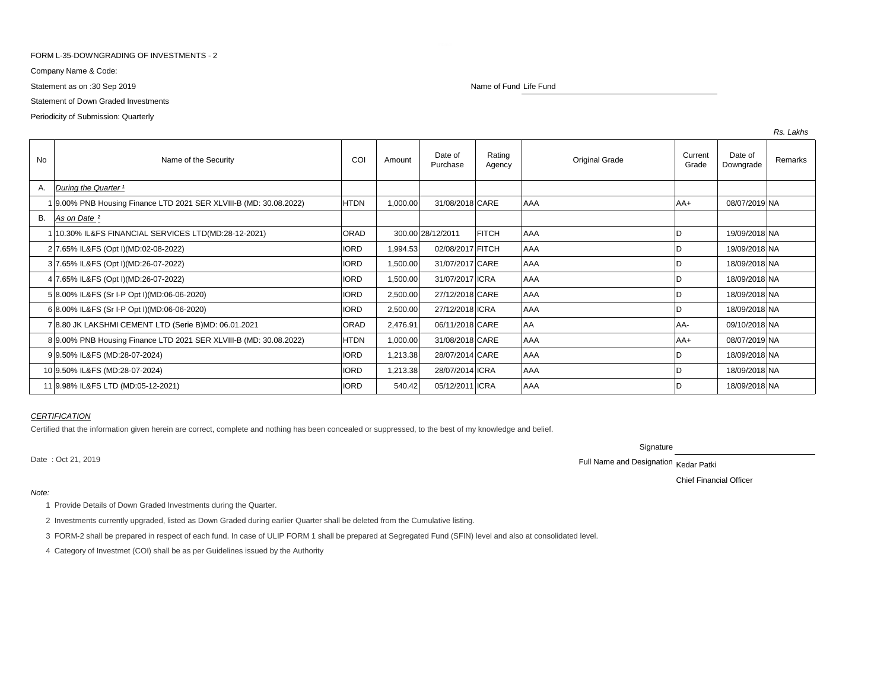### FORM L-35-DOWNGRADING OF INVESTMENTS - 2

Company Name & Code:

Statement as on :30 Sep 2019 Name of Fund Life Fund

# Statement of Down Graded Investments

Periodicity of Submission: Quarterly

| <b>No</b> | Name of the Security                                               | COI         | Amount   | Date of<br>Purchase | Rating<br>Agency | Original Grade | Current<br>Grade | Date of<br>Downgrade | Remarks |
|-----------|--------------------------------------------------------------------|-------------|----------|---------------------|------------------|----------------|------------------|----------------------|---------|
| Α.        | During the Quarter 1                                               |             |          |                     |                  |                |                  |                      |         |
|           | 1 9.00% PNB Housing Finance LTD 2021 SER XLVIII-B (MD: 30.08.2022) | <b>HTDN</b> | 1,000.00 | 31/08/2018 CARE     |                  | <b>AAA</b>     | $AA+$            | 08/07/2019 NA        |         |
| В.        | As on Date <sup>2</sup>                                            |             |          |                     |                  |                |                  |                      |         |
|           | 10.30% IL&FS FINANCIAL SERVICES LTD(MD:28-12-2021)                 | <b>ORAD</b> |          | 300.00 28/12/2011   | <b>FITCH</b>     | <b>AAA</b>     |                  | 19/09/2018 NA        |         |
|           | 2 7.65% IL&FS (Opt I)(MD:02-08-2022)                               | <b>IORD</b> | 1,994.53 | 02/08/2017 FITCH    |                  | <b>AAA</b>     |                  | 19/09/2018 NA        |         |
|           | 3 7.65% IL&FS (Opt I)(MD:26-07-2022)                               | <b>IORD</b> | 1,500.00 | 31/07/2017 CARE     |                  | <b>AAA</b>     |                  | 18/09/2018 NA        |         |
|           | 4 7.65% IL&FS (Opt I)(MD:26-07-2022)                               | <b>IORD</b> | 1,500.00 | 31/07/2017 ICRA     |                  | <b>AAA</b>     |                  | 18/09/2018 NA        |         |
|           | 5 8.00% IL&FS (Sr I-P Opt I) (MD:06-06-2020)                       | <b>IORD</b> | 2,500.00 | 27/12/2018 CARE     |                  | <b>AAA</b>     |                  | 18/09/2018 NA        |         |
|           | 6 8.00% IL&FS (Sr I-P Opt I) (MD:06-06-2020)                       | <b>IORD</b> | 2,500.00 | 27/12/2018 ICRA     |                  | <b>AAA</b>     |                  | 18/09/2018 NA        |         |
|           | 7 8.80 JK LAKSHMI CEMENT LTD (Serie B)MD: 06.01.2021               | <b>ORAD</b> | 2,476.91 | 06/11/2018 CARE     |                  | <b>AA</b>      | AA-              | 09/10/2018 NA        |         |
|           | 8 9.00% PNB Housing Finance LTD 2021 SER XLVIII-B (MD: 30.08.2022) | <b>HTDN</b> | 1,000.00 | 31/08/2018 CARE     |                  | <b>AAA</b>     | AA+              | 08/07/2019 NA        |         |
|           | 99.50% IL&FS (MD:28-07-2024)                                       | <b>IORD</b> | 1,213.38 | 28/07/2014 CARE     |                  | <b>AAA</b>     |                  | 18/09/2018 NA        |         |
|           | 10 9.50% IL&FS (MD:28-07-2024)                                     | <b>IORD</b> | 1,213.38 | 28/07/2014 ICRA     |                  | <b>AAA</b>     |                  | 18/09/2018 NA        |         |
|           | 11 9.98% IL&FS LTD (MD:05-12-2021)                                 | <b>IORD</b> | 540.42   | 05/12/2011 ICRA     |                  | <b>AAA</b>     |                  | 18/09/2018 NA        |         |

# *CERTIFICATION*

Certified that the information given herein are correct, complete and nothing has been concealed or suppressed, to the best of my knowledge and belief.

Signature

Date : Oct 21, 2019 **Kedar Patki Full Name and Designation Kedar Patki** 

Chief Financial Officer

#### *Note:*

- 1 Provide Details of Down Graded Investments during the Quarter.
- 2 Investments currently upgraded, listed as Down Graded during earlier Quarter shall be deleted from the Cumulative listing.
- 3 FORM-2 shall be prepared in respect of each fund. In case of ULIP FORM 1 shall be prepared at Segregated Fund (SFIN) level and also at consolidated level.
- 4 Category of Investmet (COI) shall be as per Guidelines issued by the Authority

*Rs. Lakhs*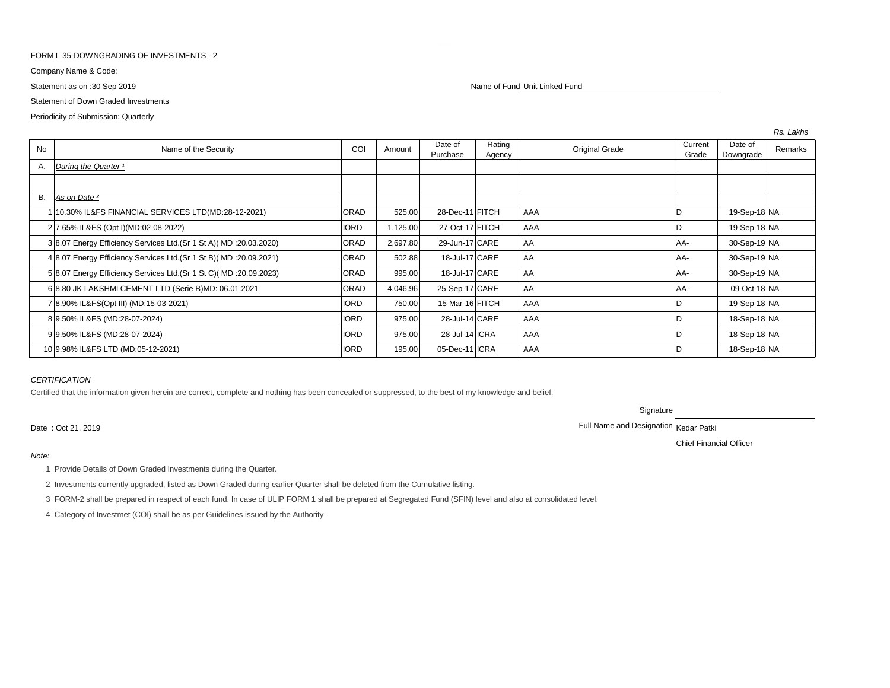### FORM L-35-DOWNGRADING OF INVESTMENTS - 2

Company Name & Code:

# Statement of Down Graded Investments

Periodicity of Submission: Quarterly

| <b>No</b> | Name of the Security                                                 | COI         | Amount   | Date of<br>Purchase | Rating<br>Agency | Original Grade | Current<br>Grade | Date of<br>Downgrade | Remarks |
|-----------|----------------------------------------------------------------------|-------------|----------|---------------------|------------------|----------------|------------------|----------------------|---------|
| Α.        | During the Quarter <sup>1</sup>                                      |             |          |                     |                  |                |                  |                      |         |
|           |                                                                      |             |          |                     |                  |                |                  |                      |         |
| <b>B.</b> | As on Date <sup>2</sup>                                              |             |          |                     |                  |                |                  |                      |         |
|           | 1 10.30% IL&FS FINANCIAL SERVICES LTD(MD:28-12-2021)                 | ORAD        | 525.00   | 28-Dec-11 FITCH     |                  | <b>AAA</b>     |                  | 19-Sep-18 NA         |         |
|           | 2 7.65% IL&FS (Opt I)(MD:02-08-2022)                                 | <b>IORD</b> | 1,125.00 | 27-Oct-17 FITCH     |                  | <b>AAA</b>     |                  | 19-Sep-18 NA         |         |
|           | 3 8.07 Energy Efficiency Services Ltd. (Sr 1 St A) (MD : 20.03.2020) | ORAD        | 2,697.80 | 29-Jun-17 CARE      |                  | <b>AA</b>      | AA-              | $30-Sep-19$ NA       |         |
|           | 4 8.07 Energy Efficiency Services Ltd. (Sr 1 St B) (MD : 20.09.2021) | <b>ORAD</b> | 502.88   | 18-Jul-17 CARE      |                  | <b>AA</b>      | AA-              | 30-Sep-19 NA         |         |
|           | 5 8.07 Energy Efficiency Services Ltd. (Sr 1 St C) (MD : 20.09.2023) | ORAD        | 995.00   | 18-Jul-17 CARE      |                  | <b>AA</b>      | AA-              | 30-Sep-19 NA         |         |
|           | 6 8.80 JK LAKSHMI CEMENT LTD (Serie B)MD: 06.01.2021                 | ORAD        | 4,046.96 | 25-Sep-17 CARE      |                  | <b>AA</b>      | AA-              | 09-Oct-18 NA         |         |
|           | 7 8.90% IL&FS(Opt III) (MD:15-03-2021)                               | <b>IORD</b> | 750.00   | 15-Mar-16 FITCH     |                  | <b>AAA</b>     |                  | 19-Sep-18 NA         |         |
|           | 8 9.50% IL&FS (MD:28-07-2024)                                        | <b>IORD</b> | 975.00   | 28-Jul-14 CARE      |                  | <b>AAA</b>     |                  | 18-Sep-18 NA         |         |
|           | 99.50% IL&FS (MD:28-07-2024)                                         | <b>IORD</b> | 975.00   | 28-Jul-14 ICRA      |                  | <b>AAA</b>     |                  | 18-Sep-18 NA         |         |
|           | 10 9.98% IL&FS LTD (MD:05-12-2021)                                   | <b>IORD</b> | 195.00   | 05-Dec-11 ICRA      |                  | <b>AAA</b>     |                  | 18-Sep-18 NA         |         |

## *CERTIFICATION*

Certified that the information given herein are correct, complete and nothing has been concealed or suppressed, to the best of my knowledge and belief.

**Signature** 

Date : Oct 21, 2019 **Full Name and Designation Kedar Patki** 

Chief Financial Officer

*Rs. Lakhs*

*Note:*

1 Provide Details of Down Graded Investments during the Quarter.

2 Investments currently upgraded, listed as Down Graded during earlier Quarter shall be deleted from the Cumulative listing.

3 FORM-2 shall be prepared in respect of each fund. In case of ULIP FORM 1 shall be prepared at Segregated Fund (SFIN) level and also at consolidated level.

4 Category of Investmet (COI) shall be as per Guidelines issued by the Authority

Statement as on :30 Sep 2019 **Name of Fund Unit Linked Fund** Name of Fund Unit Linked Fund